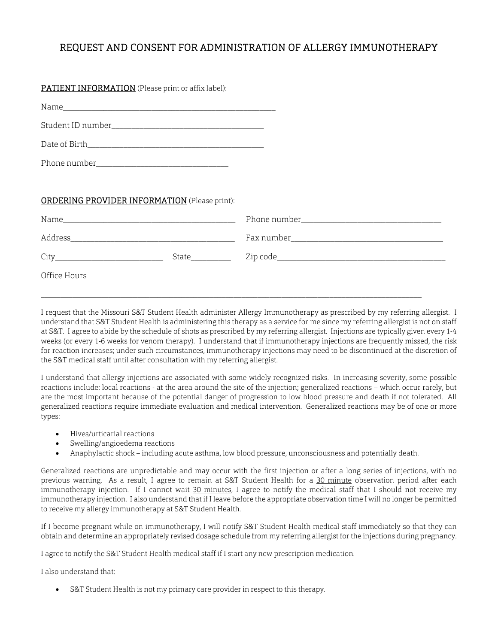## REQUEST AND CONSENT FOR ADMINISTRATION OF ALLERGY IMMUNOTHERAPY

| PATIENT INFORMATION (Please print or affix label):   |  |
|------------------------------------------------------|--|
|                                                      |  |
|                                                      |  |
|                                                      |  |
|                                                      |  |
|                                                      |  |
| <b>ORDERING PROVIDER INFORMATION</b> (Please print): |  |
|                                                      |  |
|                                                      |  |
|                                                      |  |
| Office Hours                                         |  |

I request that the Missouri S&T Student Health administer Allergy Immunotherapy as prescribed by my referring allergist. I understand that S&T Student Health is administering this therapy as a service for me since my referring allergist is not on staff at S&T. I agree to abide by the schedule of shots as prescribed by my referring allergist. Injections are typically given every 1-4 weeks (or every 1-6 weeks for venom therapy). I understand that if immunotherapy injections are frequently missed, the risk for reaction increases; under such circumstances, immunotherapy injections may need to be discontinued at the discretion of the S&T medical staff until after consultation with my referring allergist.

\_\_\_\_\_\_\_\_\_\_\_\_\_\_\_\_\_\_\_\_\_\_\_\_\_\_\_\_\_\_\_\_\_\_\_\_\_\_\_\_\_\_\_\_\_\_\_\_\_\_\_\_\_\_\_\_\_\_\_\_\_\_\_\_\_\_\_\_\_\_\_\_\_\_\_\_\_\_\_\_\_\_\_\_\_\_\_\_\_\_\_\_\_\_\_

I understand that allergy injections are associated with some widely recognized risks. In increasing severity, some possible reactions include: local reactions - at the area around the site of the injection; generalized reactions – which occur rarely, but are the most important because of the potential danger of progression to low blood pressure and death if not tolerated. All generalized reactions require immediate evaluation and medical intervention. Generalized reactions may be of one or more types:

- Hives/urticarial reactions
- Swelling/angioedema reactions
- Anaphylactic shock including acute asthma, low blood pressure, unconsciousness and potentially death.

Generalized reactions are unpredictable and may occur with the first injection or after a long series of injections, with no previous warning. As a result, I agree to remain at S&T Student Health for a 30 minute observation period after each immunotherapy injection. If I cannot wait 30 minutes, I agree to notify the medical staff that I should not receive my immunotherapy injection. I also understand that if I leave before the appropriate observation time I will no longer be permitted to receive my allergy immunotherapy at S&T Student Health.

If I become pregnant while on immunotherapy, I will notify S&T Student Health medical staff immediately so that they can obtain and determine an appropriately revised dosage schedule from my referring allergist for the injections during pregnancy.

I agree to notify the S&T Student Health medical staff if I start any new prescription medication.

I also understand that:

S&T Student Health is not my primary care provider in respect to this therapy.